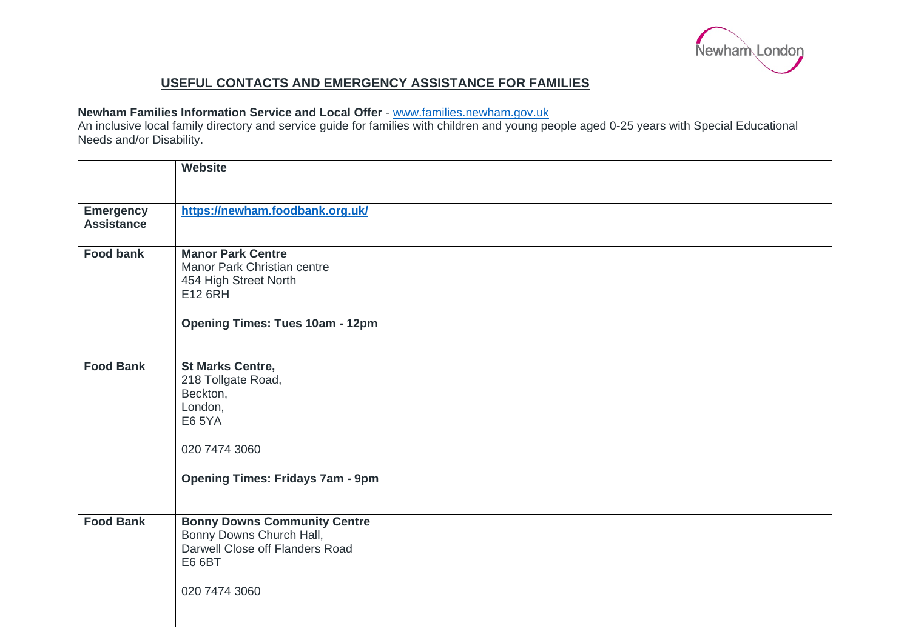

## **USEFUL CONTACTS AND EMERGENCY ASSISTANCE FOR FAMILIES**

## **Newham Families Information Service and Local Offer** - [www.families.newham.gov.uk](http://www.families.newham.gov.uk/)

An inclusive local family directory and service guide for families with children and young people aged 0-25 years with Special Educational Needs and/or Disability.

|                                       | <b>Website</b>                                                                                                                                    |
|---------------------------------------|---------------------------------------------------------------------------------------------------------------------------------------------------|
| <b>Emergency</b><br><b>Assistance</b> | https://newham.foodbank.org.uk/                                                                                                                   |
| <b>Food bank</b>                      | <b>Manor Park Centre</b><br>Manor Park Christian centre<br>454 High Street North<br>E12 6RH<br><b>Opening Times: Tues 10am - 12pm</b>             |
| <b>Food Bank</b>                      | <b>St Marks Centre,</b><br>218 Tollgate Road,<br>Beckton,<br>London,<br><b>E6 5YA</b><br>020 7474 3060<br><b>Opening Times: Fridays 7am - 9pm</b> |
| <b>Food Bank</b>                      | <b>Bonny Downs Community Centre</b><br>Bonny Downs Church Hall,<br>Darwell Close off Flanders Road<br><b>E6 6BT</b><br>020 7474 3060              |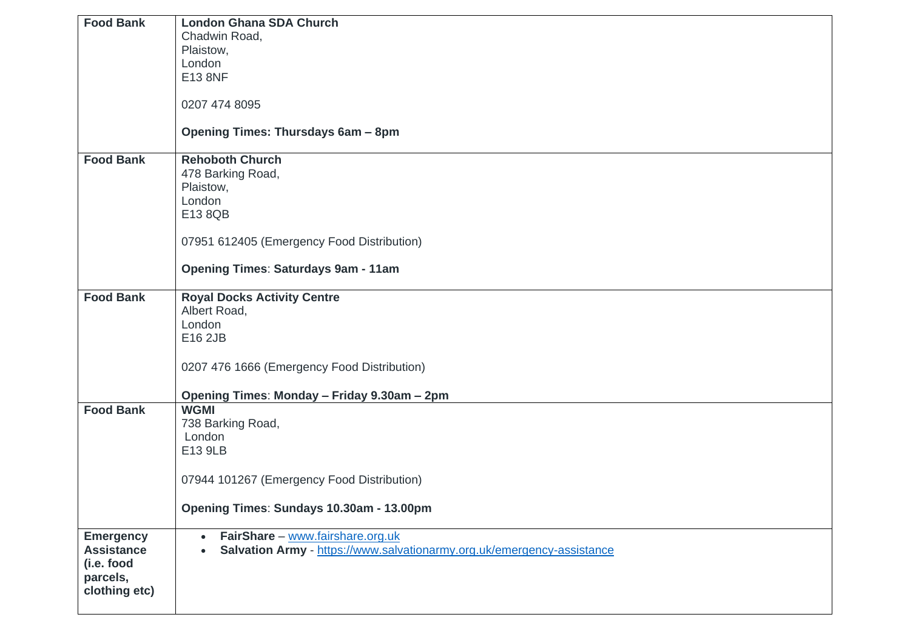| <b>Food Bank</b>  | <b>London Ghana SDA Church</b>                                                      |
|-------------------|-------------------------------------------------------------------------------------|
|                   | Chadwin Road,                                                                       |
|                   | Plaistow,                                                                           |
|                   | London                                                                              |
|                   | E13 8NF                                                                             |
|                   |                                                                                     |
|                   | 0207 474 8095                                                                       |
|                   | Opening Times: Thursdays 6am - 8pm                                                  |
|                   |                                                                                     |
| <b>Food Bank</b>  | <b>Rehoboth Church</b>                                                              |
|                   | 478 Barking Road,                                                                   |
|                   | Plaistow,                                                                           |
|                   | London                                                                              |
|                   | E13 8QB                                                                             |
|                   |                                                                                     |
|                   | 07951 612405 (Emergency Food Distribution)                                          |
|                   | <b>Opening Times: Saturdays 9am - 11am</b>                                          |
|                   |                                                                                     |
| <b>Food Bank</b>  | <b>Royal Docks Activity Centre</b>                                                  |
|                   | Albert Road,                                                                        |
|                   | London                                                                              |
|                   | E16 2JB                                                                             |
|                   |                                                                                     |
|                   | 0207 476 1666 (Emergency Food Distribution)                                         |
|                   | Opening Times: Monday - Friday 9.30am - 2pm                                         |
| <b>Food Bank</b>  | <b>WGMI</b>                                                                         |
|                   | 738 Barking Road,                                                                   |
|                   | London                                                                              |
|                   | E13 9LB                                                                             |
|                   |                                                                                     |
|                   | 07944 101267 (Emergency Food Distribution)                                          |
|                   |                                                                                     |
|                   | Opening Times: Sundays 10.30am - 13.00pm                                            |
| <b>Emergency</b>  | FairShare - www.fairshare.org.uk<br>$\bullet$                                       |
| <b>Assistance</b> | Salvation Army - https://www.salvationarmy.org.uk/emergency-assistance<br>$\bullet$ |
| (i.e. food        |                                                                                     |
| parcels,          |                                                                                     |
| clothing etc)     |                                                                                     |
|                   |                                                                                     |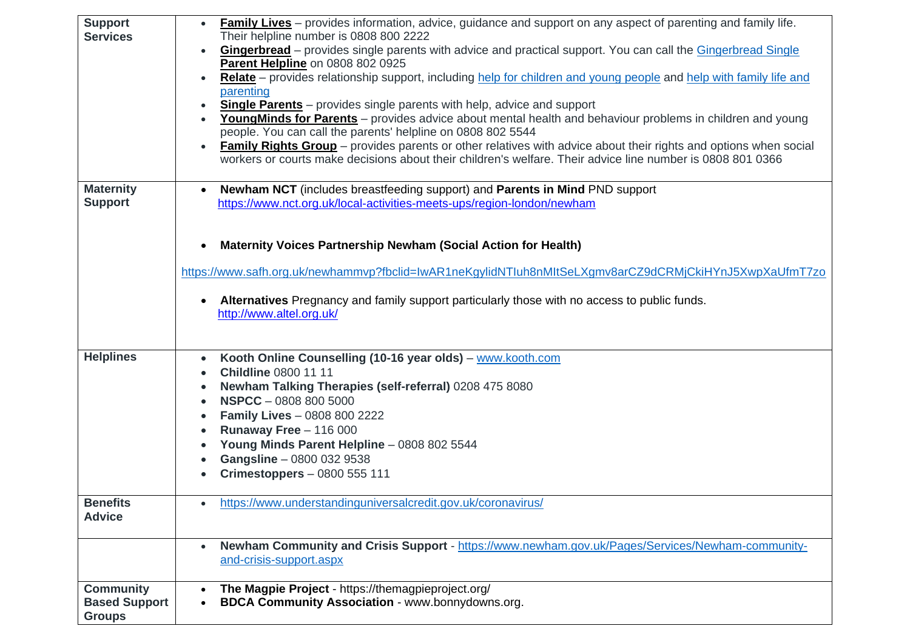| <b>Support</b><br><b>Services</b> | <b>Family Lives</b> – provides information, advice, guidance and support on any aspect of parenting and family life.<br>Their helpline number is 0808 800 2222 |
|-----------------------------------|----------------------------------------------------------------------------------------------------------------------------------------------------------------|
|                                   | <b>Gingerbread</b> – provides single parents with advice and practical support. You can call the Gingerbread Single<br>$\bullet$                               |
|                                   | Parent Helpline on 0808 802 0925                                                                                                                               |
|                                   | Relate - provides relationship support, including help for children and young people and help with family life and<br>$\bullet$                                |
|                                   | parenting<br><b>Single Parents</b> – provides single parents with help, advice and support                                                                     |
|                                   | Young Minds for Parents - provides advice about mental health and behaviour problems in children and young                                                     |
|                                   | people. You can call the parents' helpline on 0808 802 5544                                                                                                    |
|                                   | Family Rights Group - provides parents or other relatives with advice about their rights and options when social<br>$\bullet$                                  |
|                                   | workers or courts make decisions about their children's welfare. Their advice line number is 0808 801 0366                                                     |
| <b>Maternity</b>                  | Newham NCT (includes breastfeeding support) and Parents in Mind PND support<br>$\bullet$                                                                       |
| <b>Support</b>                    | https://www.nct.org.uk/local-activities-meets-ups/region-london/newham                                                                                         |
|                                   |                                                                                                                                                                |
|                                   | Maternity Voices Partnership Newham (Social Action for Health)                                                                                                 |
|                                   |                                                                                                                                                                |
|                                   | https://www.safh.org.uk/newhammvp?fbclid=IwAR1neKgylidNTIuh8nMItSeLXgmv8arCZ9dCRMjCkiHYnJ5XwpXaUfmT7zo                                                         |
|                                   |                                                                                                                                                                |
|                                   | Alternatives Pregnancy and family support particularly those with no access to public funds.<br>$\bullet$<br>http://www.altel.org.uk/                          |
|                                   |                                                                                                                                                                |
|                                   |                                                                                                                                                                |
| <b>Helplines</b>                  | Kooth Online Counselling (10-16 year olds) - www.kooth.com<br>$\bullet$                                                                                        |
|                                   | <b>Childline 0800 11 11</b>                                                                                                                                    |
|                                   | Newham Talking Therapies (self-referral) 0208 475 8080<br><b>NSPCC</b> - 0808 800 5000                                                                         |
|                                   | <b>Family Lives - 0808 800 2222</b>                                                                                                                            |
|                                   | Runaway Free $-116000$<br>$\bullet$                                                                                                                            |
|                                   | Young Minds Parent Helpline - 0808 802 5544                                                                                                                    |
|                                   | Gangsline - 0800 032 9538                                                                                                                                      |
|                                   | Crimestoppers - 0800 555 111                                                                                                                                   |
| <b>Benefits</b>                   | https://www.understandinguniversalcredit.gov.uk/coronavirus/<br>$\bullet$                                                                                      |
| <b>Advice</b>                     |                                                                                                                                                                |
|                                   |                                                                                                                                                                |
|                                   | Newham Community and Crisis Support - https://www.newham.gov.uk/Pages/Services/Newham-community-<br>$\bullet$                                                  |
|                                   | and-crisis-support.aspx                                                                                                                                        |
| <b>Community</b>                  | The Magpie Project - https://themagpieproject.org/                                                                                                             |
| <b>Based Support</b>              | BDCA Community Association - www.bonnydowns.org.<br>$\bullet$                                                                                                  |
| <b>Groups</b>                     |                                                                                                                                                                |